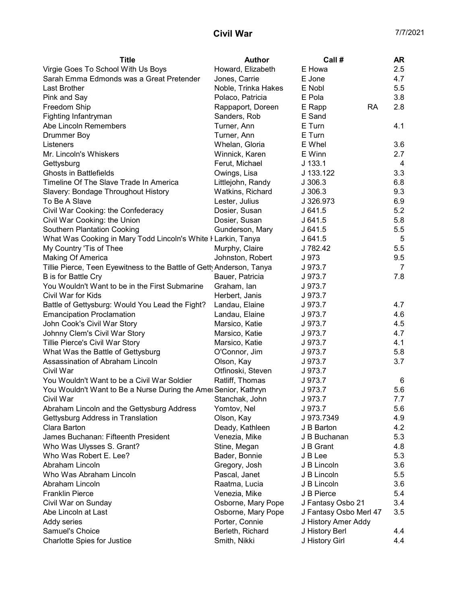## **Civil War** 7/7/2021

| <b>Title</b>                                                          | Author              | Call#                  | <b>AR</b>      |
|-----------------------------------------------------------------------|---------------------|------------------------|----------------|
| Virgie Goes To School With Us Boys                                    | Howard, Elizabeth   | E Howa                 | 2.5            |
| Sarah Emma Edmonds was a Great Pretender                              | Jones, Carrie       | E Jone                 | 4.7            |
| Last Brother                                                          | Noble, Trinka Hakes | E Nobl                 | 5.5            |
| Pink and Say                                                          | Polaco, Patricia    | E Pola                 | 3.8            |
| Freedom Ship                                                          | Rappaport, Doreen   | <b>RA</b><br>E Rapp    | 2.8            |
| Fighting Infantryman                                                  | Sanders, Rob        | E Sand                 |                |
| Abe Lincoln Remembers                                                 | Turner, Ann         | E Turn                 | 4.1            |
| <b>Drummer Boy</b>                                                    | Turner, Ann         | E Turn                 |                |
| Listeners                                                             | Whelan, Gloria      | E Whel                 | 3.6            |
| Mr. Lincoln's Whiskers                                                | Winnick, Karen      | E Winn                 | 2.7            |
| Gettysburg                                                            | Ferut, Michael      | $J$ 133.1              | 4              |
| <b>Ghosts in Battlefields</b>                                         | Owings, Lisa        | J 133.122              | 3.3            |
| Timeline Of The Slave Trade In America                                | Littlejohn, Randy   | J306.3                 | 6.8            |
| Slavery: Bondage Throughout History                                   | Watkins, Richard    | J 306.3                | 9.3            |
| To Be A Slave                                                         | Lester, Julius      | J 326.973              | 6.9            |
| Civil War Cooking: the Confederacy                                    | Dosier, Susan       | J641.5                 | 5.2            |
| Civil War Cooking: the Union                                          | Dosier, Susan       | J641.5                 | 5.8            |
| <b>Southern Plantation Cooking</b>                                    | Gunderson, Mary     | J641.5                 | 5.5            |
| What Was Cooking in Mary Todd Lincoln's White I Larkin, Tanya         |                     | J641.5                 | 5              |
| My Country 'Tis of Thee                                               | Murphy, Claire      | J 782.42               | 5.5            |
| Making Of America                                                     | Johnston, Robert    | J 973                  | 9.5            |
| Tillie Pierce, Teen Eyewitness to the Battle of Getty Anderson, Tanya |                     | J 973.7                | $\overline{7}$ |
| B is for Battle Cry                                                   | Bauer, Patricia     | J 973.7                | 7.8            |
| You Wouldn't Want to be in the First Submarine                        | Graham, Ian         | J 973.7                |                |
| Civil War for Kids                                                    | Herbert, Janis      | J 973.7                |                |
| Battle of Gettysburg: Would You Lead the Fight?                       | Landau, Elaine      | J 973.7                | 4.7            |
| <b>Emancipation Proclamation</b>                                      | Landau, Elaine      | J 973.7                | 4.6            |
| John Cook's Civil War Story                                           | Marsico, Katie      | J 973.7                | 4.5            |
| Johnny Clem's Civil War Story                                         | Marsico, Katie      | J 973.7                | 4.7            |
| Tillie Pierce's Civil War Story                                       | Marsico, Katie      | J 973.7                | 4.1            |
| What Was the Battle of Gettysburg                                     | O'Connor, Jim       | J 973.7                | 5.8            |
| Assassination of Abraham Lincoln                                      | Olson, Kay          | J 973.7                | 3.7            |
| Civil War                                                             | Otfinoski, Steven   | J 973.7                |                |
| You Wouldn't Want to be a Civil War Soldier                           | Ratliff, Thomas     | J 973.7                | 6              |
| You Wouldn't Want to Be a Nurse During the Amer Senior, Kathryn       |                     | J 973.7                | 5.6            |
| Civil War                                                             | Stanchak, John      | J 973.7                | 7.7            |
| Abraham Lincoln and the Gettysburg Address                            | Yomtov, Nel         | J 973.7                | 5.6            |
| Gettysburg Address in Translation                                     | Olson, Kay          | J 973.7349             | 4.9            |
| Clara Barton                                                          | Deady, Kathleen     | J B Barton             | 4.2            |
| James Buchanan: Fifteenth President                                   | Venezia, Mike       | J B Buchanan           | 5.3            |
| Who Was Ulysses S. Grant?                                             | Stine, Megan        | J B Grant              | 4.8            |
| Who Was Robert E. Lee?                                                | Bader, Bonnie       | J B Lee                | 5.3            |
| Abraham Lincoln                                                       | Gregory, Josh       | J B Lincoln            | 3.6            |
| Who Was Abraham Lincoln                                               | Pascal, Janet       | J B Lincoln            | 5.5            |
| Abraham Lincoln                                                       | Raatma, Lucia       | J B Lincoln            | 3.6            |
| <b>Franklin Pierce</b>                                                | Venezia, Mike       | J B Pierce             | 5.4            |
| Civil War on Sunday                                                   | Osborne, Mary Pope  | J Fantasy Osbo 21      | 3.4            |
| Abe Lincoln at Last                                                   | Osborne, Mary Pope  | J Fantasy Osbo Merl 47 | 3.5            |
| Addy series                                                           | Porter, Connie      | J History Amer Addy    |                |
| Samuel's Choice                                                       | Berleth, Richard    | J History Berl         | 4.4            |
| <b>Charlotte Spies for Justice</b>                                    | Smith, Nikki        | J History Girl         | 4.4            |
|                                                                       |                     |                        |                |